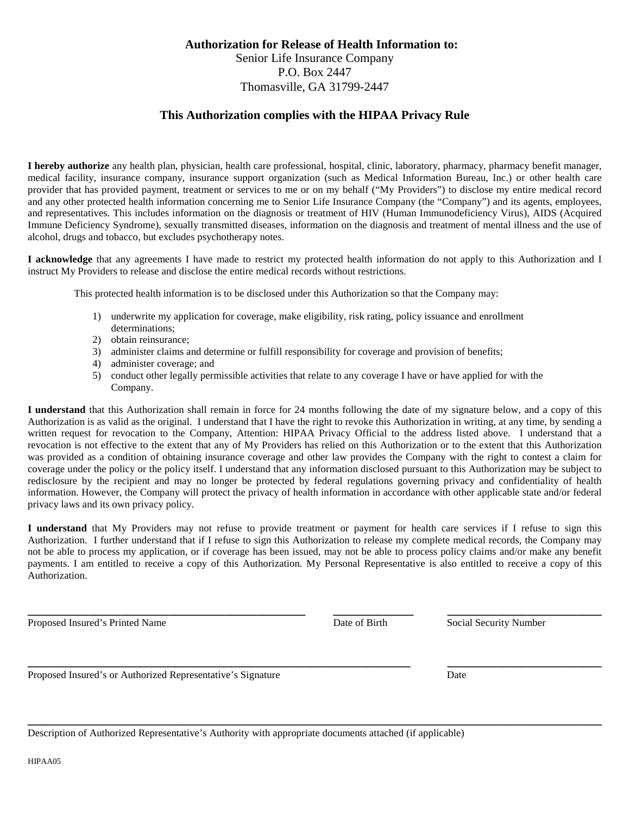## **Authorization for Release of Health Information to:** Senior Life Insurance Company P.O. Box 2447 Thomasville, GA 31799-2447

## **This Authorization complies with the HIPAA Privacy Rule**

**I hereby authorize** any health plan, physician, health care professional, hospital, clinic, laboratory, pharmacy, pharmacy benefit manager, medical facility, insurance company, insurance support organization (such as Medical Information Bureau, Inc.) or other health care provider that has provided payment, treatment or services to me or on my behalf ("My Providers") to disclose my entire medical record and any other protected health information concerning me to Senior Life Insurance Company (the "Company") and its agents, employees, and representatives. This includes information on the diagnosis or treatment of HIV (Human Immunodeficiency Virus), AIDS (Acquired Immune Deficiency Syndrome), sexually transmitted diseases, information on the diagnosis and treatment of mental illness and the use of alcohol, drugs and tobacco, but excludes psychotherapy notes.

**I acknowledge** that any agreements I have made to restrict my protected health information do not apply to this Authorization and I instruct My Providers to release and disclose the entire medical records without restrictions.

This protected health information is to be disclosed under this Authorization so that the Company may:

- 1) underwrite my application for coverage, make eligibility, risk rating, policy issuance and enrollment determinations;
- 2) obtain reinsurance;
- 3) administer claims and determine or fulfill responsibility for coverage and provision of benefits;
- 4) administer coverage; and
- 5) conduct other legally permissible activities that relate to any coverage I have or have applied for with the Company.

**I understand** that this Authorization shall remain in force for 24 months following the date of my signature below, and a copy of this Authorization is as valid as the original. I understand that I have the right to revoke this Authorization in writing, at any time, by sending a written request for revocation to the Company, Attention: HIPAA Privacy Official to the address listed above. I understand that a revocation is not effective to the extent that any of My Providers has relied on this Authorization or to the extent that this Authorization was provided as a condition of obtaining insurance coverage and other law provides the Company with the right to contest a claim for coverage under the policy or the policy itself. I understand that any information disclosed pursuant to this Authorization may be subject to redisclosure by the recipient and may no longer be protected by federal regulations governing privacy and confidentiality of health information. However, the Company will protect the privacy of health information in accordance with other applicable state and/or federal privacy laws and its own privacy policy.

**I understand** that My Providers may not refuse to provide treatment or payment for health care services if I refuse to sign this Authorization. I further understand that if I refuse to sign this Authorization to release my complete medical records, the Company may not be able to process my application, or if coverage has been issued, may not be able to process policy claims and/or make any benefit payments. I am entitled to receive a copy of this Authorization. My Personal Representative is also entitled to receive a copy of this Authorization.

**\_\_\_\_\_\_\_\_\_\_\_\_\_\_\_\_\_\_\_\_\_\_\_\_\_\_\_\_\_\_\_\_\_\_\_\_\_\_\_\_\_\_\_\_\_ \_\_\_\_\_\_\_\_\_\_\_\_\_ \_\_\_\_\_\_\_\_\_\_\_\_\_\_\_\_\_\_\_\_\_\_\_\_\_**

**\_\_\_\_\_\_\_\_\_\_\_\_\_\_\_\_\_\_\_\_\_\_\_\_\_\_\_\_\_\_\_\_\_\_\_\_\_\_\_\_\_\_\_\_\_\_\_\_\_\_\_\_\_\_\_\_\_\_\_\_\_\_ \_\_\_\_\_\_\_\_\_\_\_\_\_\_\_\_\_\_\_\_\_\_\_\_\_**

**\_\_\_\_\_\_\_\_\_\_\_\_\_\_\_\_\_\_\_\_\_\_\_\_\_\_\_\_\_\_\_\_\_\_\_\_\_\_\_\_\_\_\_\_\_\_\_\_\_\_\_\_\_\_\_\_\_\_\_\_\_\_\_\_\_\_\_\_\_\_\_\_\_\_\_\_\_\_\_\_\_\_\_\_\_\_\_\_\_\_\_\_\_**

Proposed Insured's Printed Name **Date of Birth** Social Security Number

Proposed Insured's or Authorized Representative's Signature Date

Description of Authorized Representative's Authority with appropriate documents attached (if applicable)